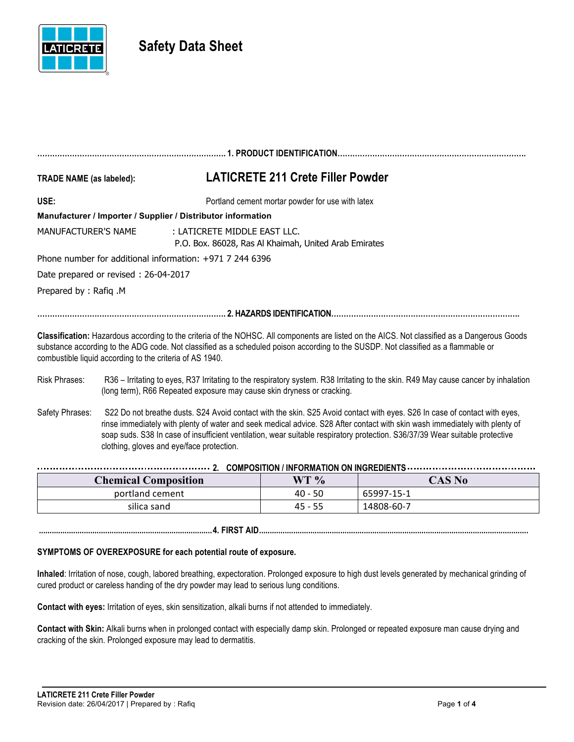

# **Safety Data Sheet**

| <b>TRADE NAME (as labeled):</b>                            | <b>LATICRETE 211 Crete Filler Powder</b>                                                                                                                                                                                                                                           |
|------------------------------------------------------------|------------------------------------------------------------------------------------------------------------------------------------------------------------------------------------------------------------------------------------------------------------------------------------|
| USE:                                                       | Portland cement mortar powder for use with latex                                                                                                                                                                                                                                   |
|                                                            | Manufacturer / Importer / Supplier / Distributor information                                                                                                                                                                                                                       |
| MANUFACTURER'S NAME                                        | : LATICRETE MIDDLE EAST LLC.<br>P.O. Box. 86028, Ras Al Khaimah, United Arab Emirates                                                                                                                                                                                              |
| Phone number for additional information: $+971$ 7 244 6396 |                                                                                                                                                                                                                                                                                    |
| Date prepared or revised: 26-04-2017                       |                                                                                                                                                                                                                                                                                    |
| Prepared by: Rafig.M                                       |                                                                                                                                                                                                                                                                                    |
|                                                            |                                                                                                                                                                                                                                                                                    |
| combustible liquid according to the criteria of AS 1940.   | Classification: Hazardous according to the criteria of the NOHSC. All components are listed on the AICS. Not classified as a Dangerous Goods<br>substance according to the ADG code. Not classified as a scheduled poison according to the SUSDP. Not classified as a flammable or |
|                                                            |                                                                                                                                                                                                                                                                                    |

- Risk Phrases: R36 Irritating to eyes, R37 Irritating to the respiratory system. R38 Irritating to the skin. R49 May cause cancer by inhalation (long term), R66 Repeated exposure may cause skin dryness or cracking.
- Safety Phrases: S22 Do not breathe dusts. S24 Avoid contact with the skin. S25 Avoid contact with eyes. S26 In case of contact with eyes, rinse immediately with plenty of water and seek medical advice. S28 After contact with skin wash immediately with plenty of soap suds. S38 In case of insufficient ventilation, wear suitable respiratory protection. S36/37/39 Wear suitable protective clothing, gloves and eye/face protection.

| <b>Chemical Composition</b> | WT %      | <b>CAS No</b> |  |
|-----------------------------|-----------|---------------|--|
| portland cement             | 40 - 50   | 65997-15-1    |  |
| silica sand                 | $45 - 55$ | 14808-60-7    |  |

## **SYMPTOMS OF OVEREXPOSURE for each potential route of exposure.**

**Inhaled**: Irritation of nose, cough, labored breathing, expectoration. Prolonged exposure to high dust levels generated by mechanical grinding of cured product or careless handing of the dry powder may lead to serious lung conditions.

**.................................................................................4. FIRST AID..............................................................................................................................**

**Contact with eyes:** Irritation of eyes, skin sensitization, alkali burns if not attended to immediately.

**Contact with Skin:** Alkali burns when in prolonged contact with especially damp skin. Prolonged or repeated exposure man cause drying and cracking of the skin. Prolonged exposure may lead to dermatitis.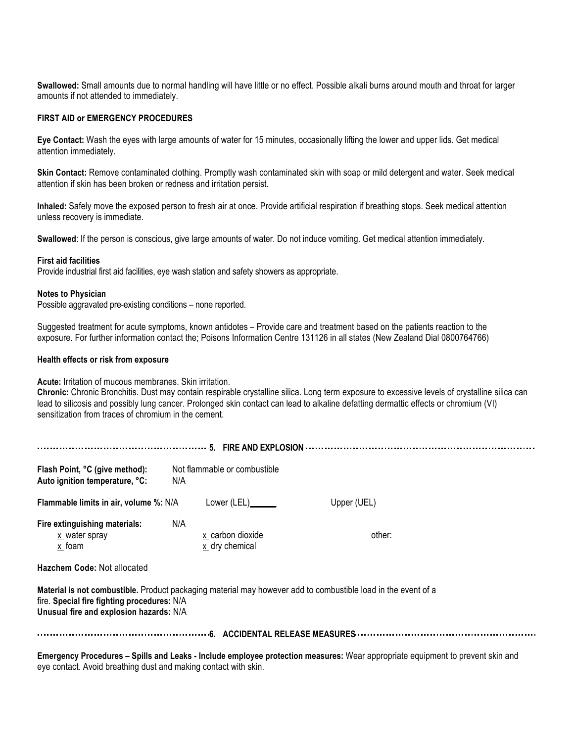**Swallowed:** Small amounts due to normal handling will have little or no effect. Possible alkali burns around mouth and throat for larger amounts if not attended to immediately.

### **FIRST AID or EMERGENCY PROCEDURES**

**Eye Contact:** Wash the eyes with large amounts of water for 15 minutes, occasionally lifting the lower and upper lids. Get medical attention immediately.

**Skin Contact:** Remove contaminated clothing. Promptly wash contaminated skin with soap or mild detergent and water. Seek medical attention if skin has been broken or redness and irritation persist.

**Inhaled:** Safely move the exposed person to fresh air at once. Provide artificial respiration if breathing stops. Seek medical attention unless recovery is immediate.

**Swallowed**: If the person is conscious, give large amounts of water. Do not induce vomiting. Get medical attention immediately.

#### **First aid facilities**

Provide industrial first aid facilities, eye wash station and safety showers as appropriate.

#### **Notes to Physician**

Possible aggravated pre-existing conditions – none reported.

Suggested treatment for acute symptoms, known antidotes – Provide care and treatment based on the patients reaction to the exposure. For further information contact the; Poisons Information Centre 131126 in all states (New Zealand Dial 0800764766)

#### **Health effects or risk from exposure**

**Acute:** Irritation of mucous membranes. Skin irritation.

**Chronic:** Chronic Bronchitis. Dust may contain respirable crystalline silica. Long term exposure to excessive levels of crystalline silica can lead to silicosis and possibly lung cancer. Prolonged skin contact can lead to alkaline defatting dermattic effects or chromium (VI) sensitization from traces of chromium in the cement.

| Flash Point, °C (give method):<br>Auto ignition temperature, °C:                       | Not flammable or combustible<br>N/A       |                                                                                                               |  |  |
|----------------------------------------------------------------------------------------|-------------------------------------------|---------------------------------------------------------------------------------------------------------------|--|--|
| Flammable limits in air, volume %: N/A                                                 | Lower (LEL)                               | Upper (UEL)                                                                                                   |  |  |
| Fire extinguishing materials:<br>x water spray<br>x foam                               | N/A<br>x carbon dioxide<br>x dry chemical | other:                                                                                                        |  |  |
| Hazchem Code: Not allocated                                                            |                                           | Material is not combustible. Product packaging material may however add to combustible load in the event of a |  |  |
| fire. Special fire fighting procedures: N/A<br>Unusual fire and explosion hazards: N/A |                                           |                                                                                                               |  |  |
|                                                                                        |                                           |                                                                                                               |  |  |

**Emergency Procedures – Spills and Leaks - Include employee protection measures:** Wear appropriate equipment to prevent skin and eye contact. Avoid breathing dust and making contact with skin.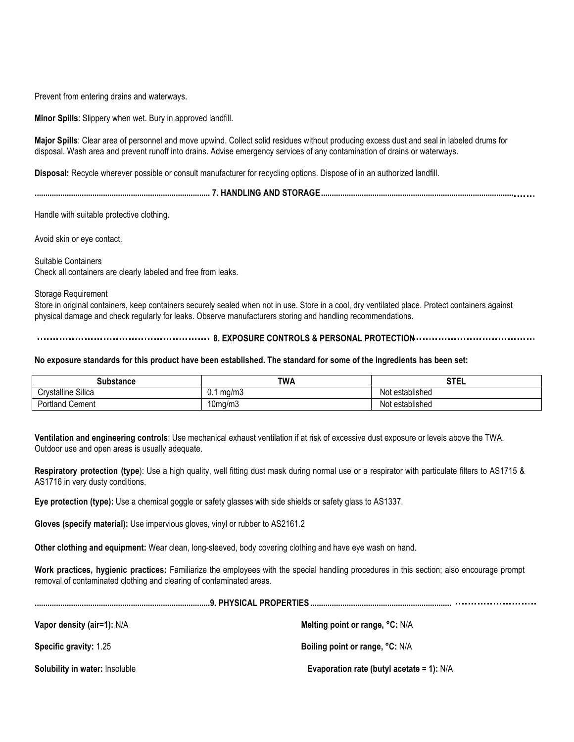Prevent from entering drains and waterways.

**Minor Spills**: Slippery when wet. Bury in approved landfill.

**Major Spills**: Clear area of personnel and move upwind. Collect solid residues without producing excess dust and seal in labeled drums for disposal. Wash area and prevent runoff into drains. Advise emergency services of any contamination of drains or waterways.

**Disposal:** Recycle wherever possible or consult manufacturer for recycling options. Dispose of in an authorized landfill.

**.................................................................................. 7. HANDLING AND STORAGE..........................................................................................**

Handle with suitable protective clothing.

Avoid skin or eye contact.

Suitable Containers Check all containers are clearly labeled and free from leaks.

Storage Requirement

Store in original containers, keep containers securely sealed when not in use. Store in a cool, dry ventilated place. Protect containers against physical damage and check regularly for leaks. Observe manufacturers storing and handling recommendations.

**8. EXPOSURE CONTROLS & PERSONAL PROTECTION**

#### **No exposure standards for this product have been established. The standard for some of the ingredients has been set:**

| Substance                 | <b>TWA</b>   | <b>STEL</b>                            |
|---------------------------|--------------|----------------------------------------|
| <b>Crystalline Silica</b> | ma/m3<br>ν., | $\cdots$<br>established<br>NI∩<br>าษ   |
| 'ortland<br>Cement<br>ימ  | ໍ<br>Uma/m3  | $\cdot$ .<br>∶established<br>NMt<br>าษ |

**Ventilation and engineering controls**: Use mechanical exhaust ventilation if at risk of excessive dust exposure or levels above the TWA. Outdoor use and open areas is usually adequate.

Respiratory protection (type): Use a high quality, well fitting dust mask during normal use or a respirator with particulate filters to AS1715 & AS1716 in very dusty conditions.

**Eye protection (type):** Use a chemical goggle or safety glasses with side shields or safety glass to AS1337.

**Gloves (specify material):** Use impervious gloves, vinyl or rubber to AS2161.2

**Other clothing and equipment:** Wear clean, long-sleeved, body covering clothing and have eye wash on hand.

**Work practices, hygienic practices:** Familiarize the employees with the special handling procedures in this section; also encourage prompt removal of contaminated clothing and clearing of contaminated areas.

| Vapor density (air=1): N/A     | Melting point or range, °C: N/A             |  |
|--------------------------------|---------------------------------------------|--|
| <b>Specific gravity: 1.25</b>  | Boiling point or range, °C: N/A             |  |
| Solubility in water: Insoluble | Evaporation rate (butyl acetate = 1): $N/A$ |  |